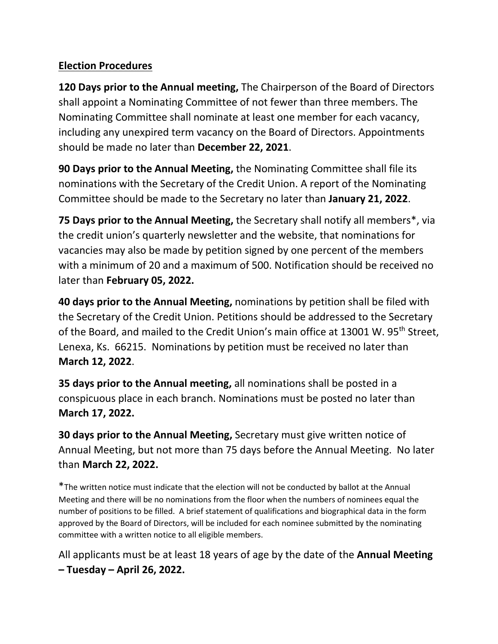## **Election Procedures**

**120 Days prior to the Annual meeting,** The Chairperson of the Board of Directors shall appoint a Nominating Committee of not fewer than three members. The Nominating Committee shall nominate at least one member for each vacancy, including any unexpired term vacancy on the Board of Directors. Appointments should be made no later than **December 22, 2021**.

**90 Days prior to the Annual Meeting,** the Nominating Committee shall file its nominations with the Secretary of the Credit Union. A report of the Nominating Committee should be made to the Secretary no later than **January 21, 2022**.

**75 Days prior to the Annual Meeting,** the Secretary shall notify all members\*, via the credit union's quarterly newsletter and the website, that nominations for vacancies may also be made by petition signed by one percent of the members with a minimum of 20 and a maximum of 500. Notification should be received no later than **February 05, 2022.**

**40 days prior to the Annual Meeting,** nominations by petition shall be filed with the Secretary of the Credit Union. Petitions should be addressed to the Secretary of the Board, and mailed to the Credit Union's main office at 13001 W. 95<sup>th</sup> Street, Lenexa, Ks. 66215. Nominations by petition must be received no later than **March 12, 2022**.

**35 days prior to the Annual meeting,** all nominations shall be posted in a conspicuous place in each branch. Nominations must be posted no later than **March 17, 2022.**

**30 days prior to the Annual Meeting,** Secretary must give written notice of Annual Meeting, but not more than 75 days before the Annual Meeting. No later than **March 22, 2022.**

\*The written notice must indicate that the election will not be conducted by ballot at the Annual Meeting and there will be no nominations from the floor when the numbers of nominees equal the number of positions to be filled. A brief statement of qualifications and biographical data in the form approved by the Board of Directors, will be included for each nominee submitted by the nominating committee with a written notice to all eligible members.

All applicants must be at least 18 years of age by the date of the **Annual Meeting – Tuesday – April 26, 2022.**